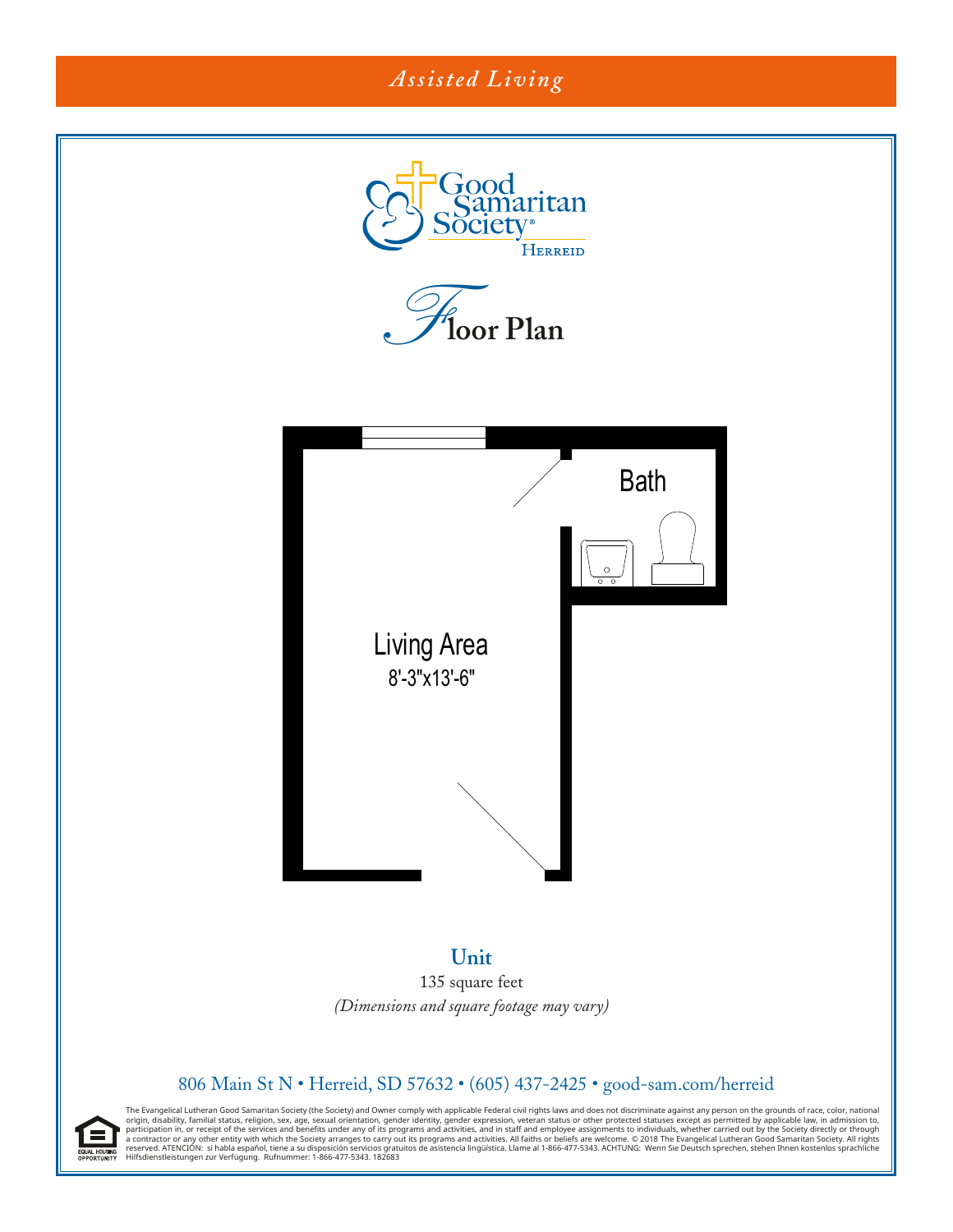# *Assisted Living*



### **Unit** 135 square feet *(Dimensions and square footage may vary)*

## 806 Main St N · Herreid, SD 57632 · (605) 437-2425 · good-sam.com/herreid

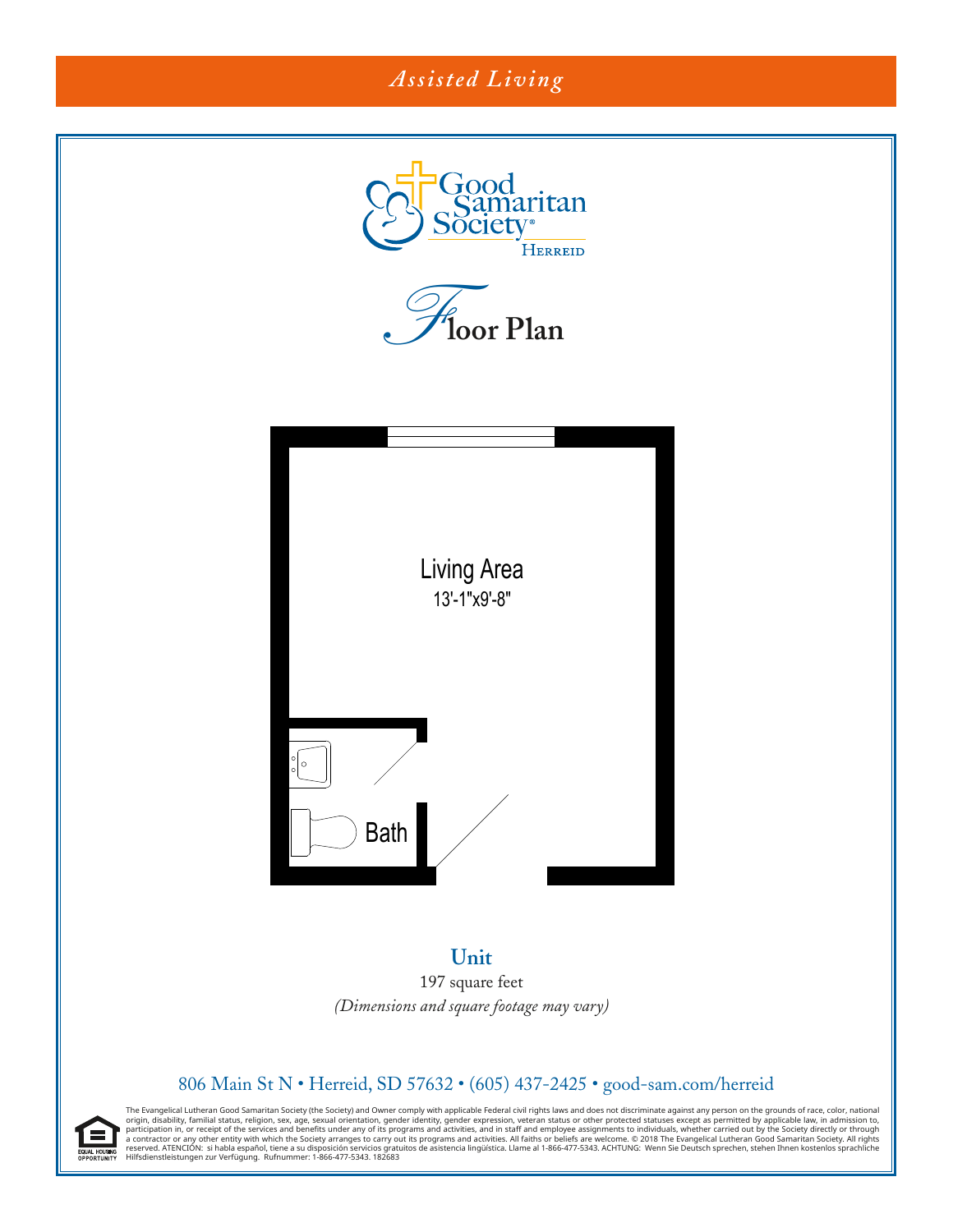

197 square feet (Dimensions and square footage may vary)

#### 806 Main St N • Herreid, SD 57632 • (605) 437-2425 • good-sam.com/herreid

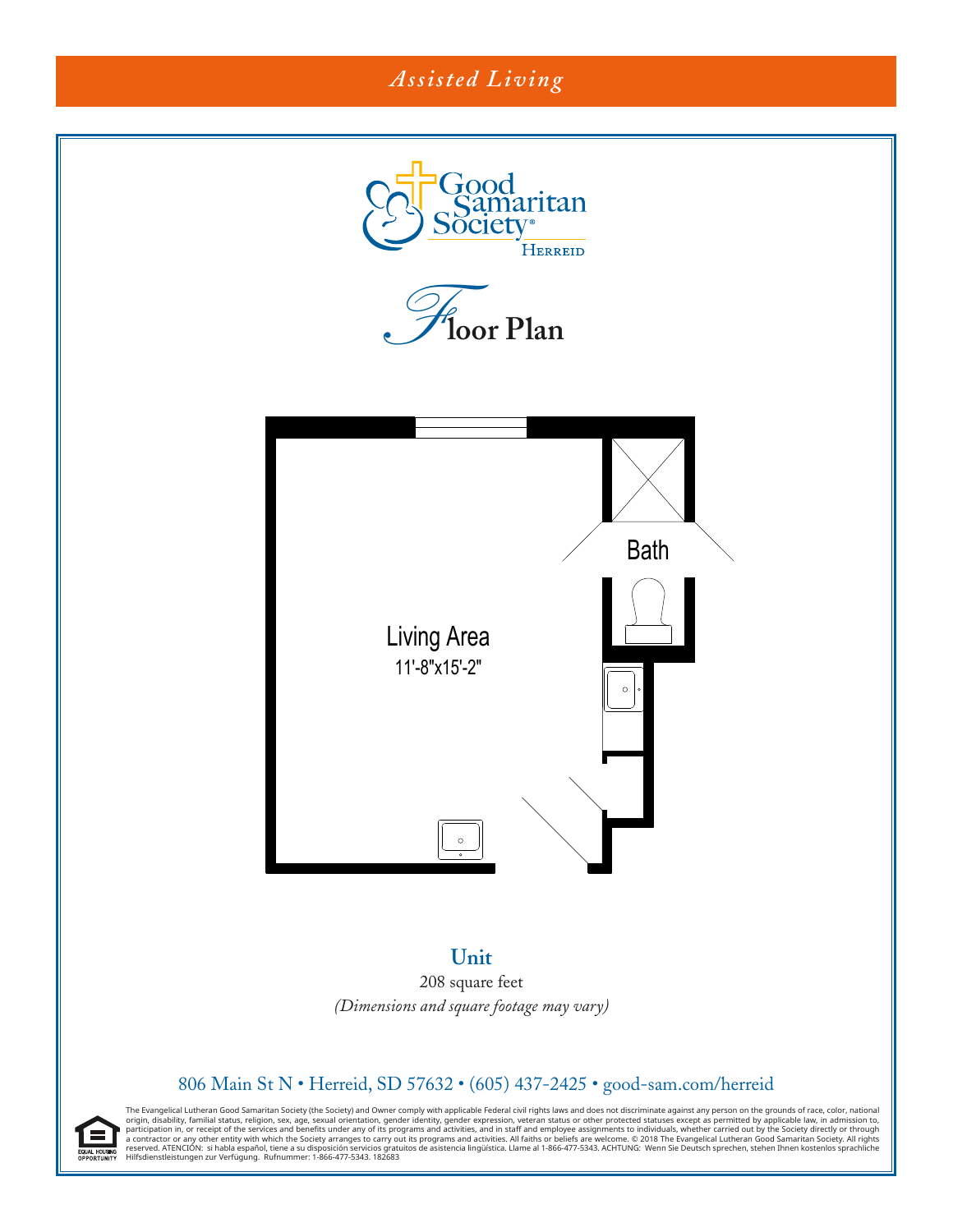

**Unit** 208 square feet *(Dimensions and square footage may vary)* 

#### 806 Main St N • Herreid, SD 57632 • (605) 437-2425 • good-sam.com/herreid

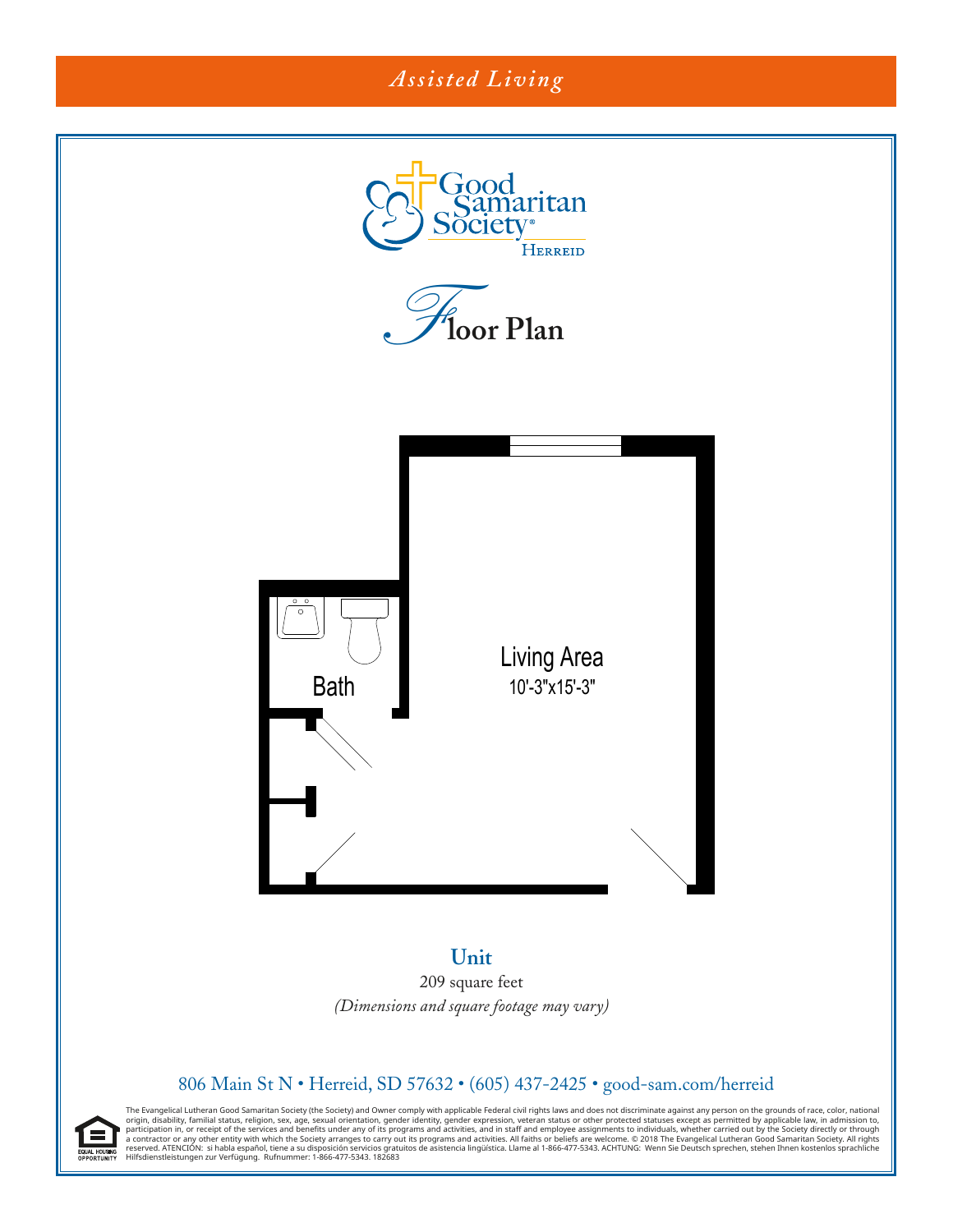# *Assisted Living*



**Unit** 209 square feet (Dimensions and square footage may vary)

#### 806 Main St N • Herreid, SD 57632 • (605) 437-2425 • good-sam.com/herreid

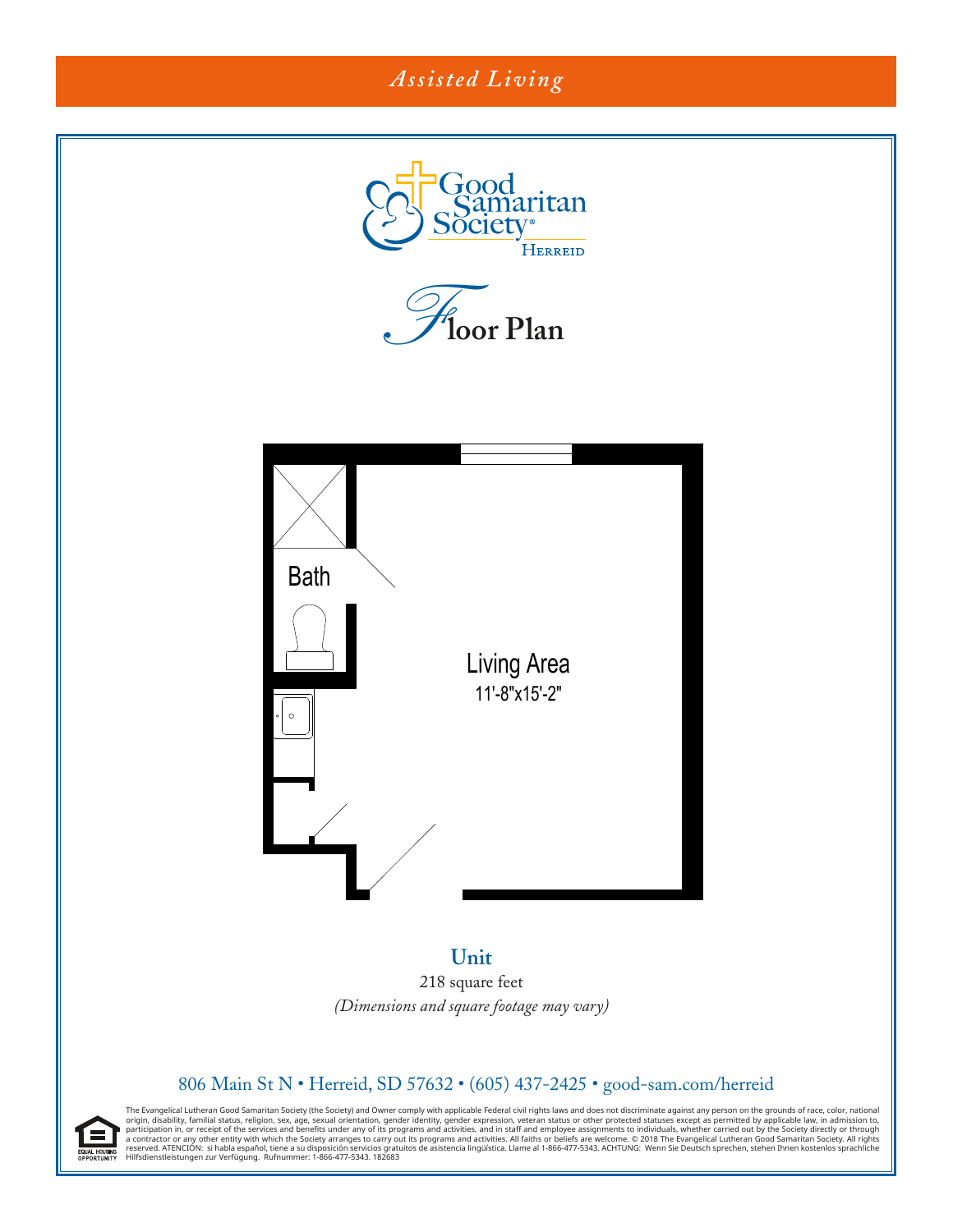

218 square feet *(Dimensions and square footage may vary)* Unit

## 806 Main St N · Herreid, SD 57632 · (605) 437-2425 · good-sam.com/herreid

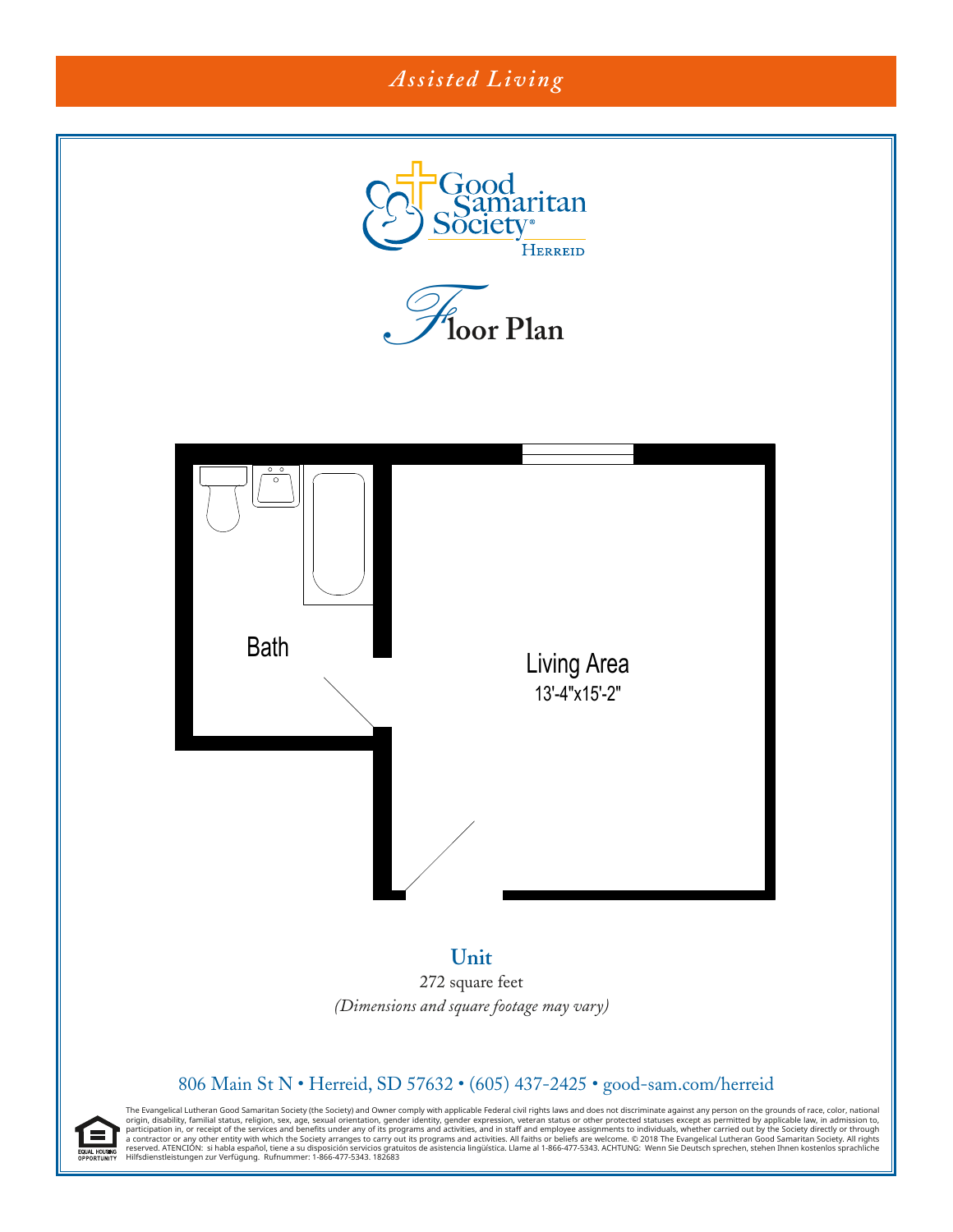# *Assisted Living* Good<br>Samaritan ociet **HERREID** *F***loor Plan** Bath Living Area 13'-4"x15'-2"

## **Unit** 272 square feet *(Dimensions and square footage may vary)*

Unit

## 806 Main St N · Herreid, SD 57632 · (605) 437-2425 · good-sam.com/herreid